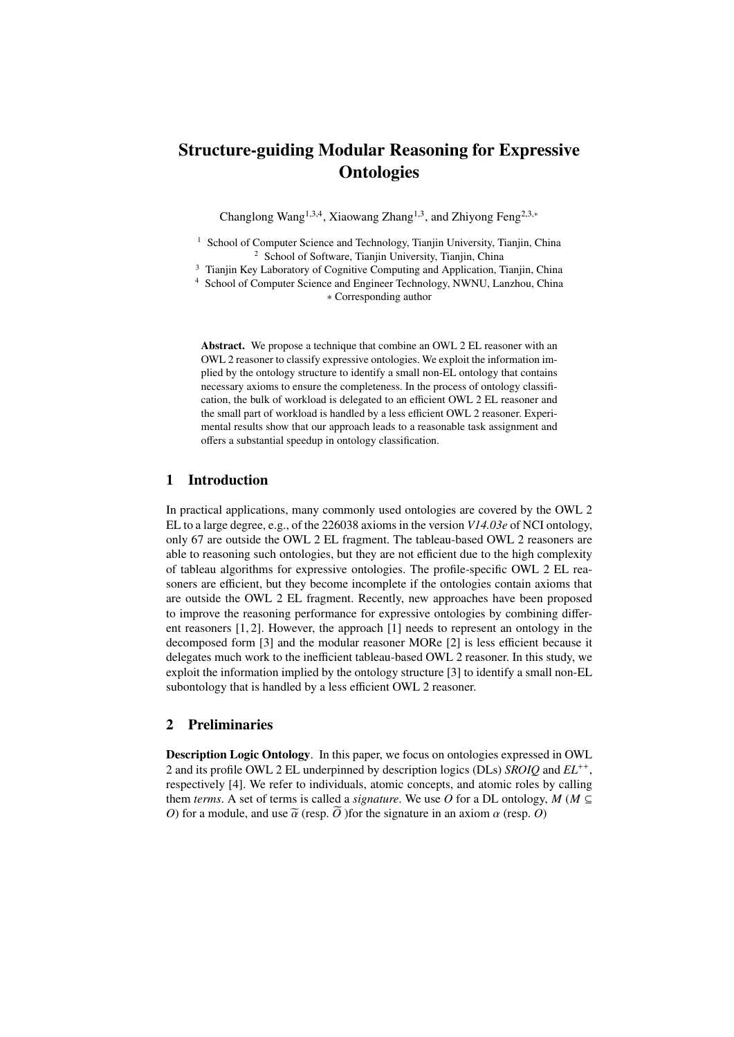# Structure-guiding Modular Reasoning for Expressive **Ontologies**

Changlong Wang<sup>1,3,4</sup>, Xiaowang Zhang<sup>1,3</sup>, and Zhiyong Feng<sup>2,3,∗</sup>

<sup>1</sup> School of Computer Science and Technology, Tianjin University, Tianjin, China School of Software, Tianjin University, Tianjin, China

<sup>3</sup> Tianjin Key Laboratory of Cognitive Computing and Application, Tianjin, China

<sup>4</sup> School of Computer Science and Engineer Technology, NWNU, Lanzhou, China ∗ Corresponding author

Abstract. We propose a technique that combine an OWL 2 EL reasoner with an OWL 2 reasoner to classify expressive ontologies. We exploit the information implied by the ontology structure to identify a small non-EL ontology that contains necessary axioms to ensure the completeness. In the process of ontology classification, the bulk of workload is delegated to an efficient OWL 2 EL reasoner and the small part of workload is handled by a less efficient OWL 2 reasoner. Experimental results show that our approach leads to a reasonable task assignment and offers a substantial speedup in ontology classification.

## 1 Introduction

In practical applications, many commonly used ontologies are covered by the OWL 2 EL to a large degree, e.g., of the 226038 axioms in the version *V14.03e* of NCI ontology, only 67 are outside the OWL 2 EL fragment. The tableau-based OWL 2 reasoners are able to reasoning such ontologies, but they are not efficient due to the high complexity of tableau algorithms for expressive ontologies. The profile-specific OWL 2 EL reasoners are efficient, but they become incomplete if the ontologies contain axioms that are outside the OWL 2 EL fragment. Recently, new approaches have been proposed to improve the reasoning performance for expressive ontologies by combining different reasoners [1, 2]. However, the approach [1] needs to represent an ontology in the decomposed form [3] and the modular reasoner MORe [2] is less efficient because it delegates much work to the inefficient tableau-based OWL 2 reasoner. In this study, we exploit the information implied by the ontology structure [3] to identify a small non-EL subontology that is handled by a less efficient OWL 2 reasoner.

### 2 Preliminaries

Description Logic Ontology. In this paper, we focus on ontologies expressed in OWL 2 and its profile OWL 2 EL underpinned by description logics (DLs) *SROIQ* and *EL*++ , respectively [4]. We refer to individuals, atomic concepts, and atomic roles by calling them *terms*. A set of terms is called a *signature*. We use O for a DL ontology,  $M$  ( $M \subseteq$ *O*) for a module, and use  $\tilde{\alpha}$  (resp.  $\tilde{O}$ ) for the signature in an axiom  $\alpha$  (resp. *O*)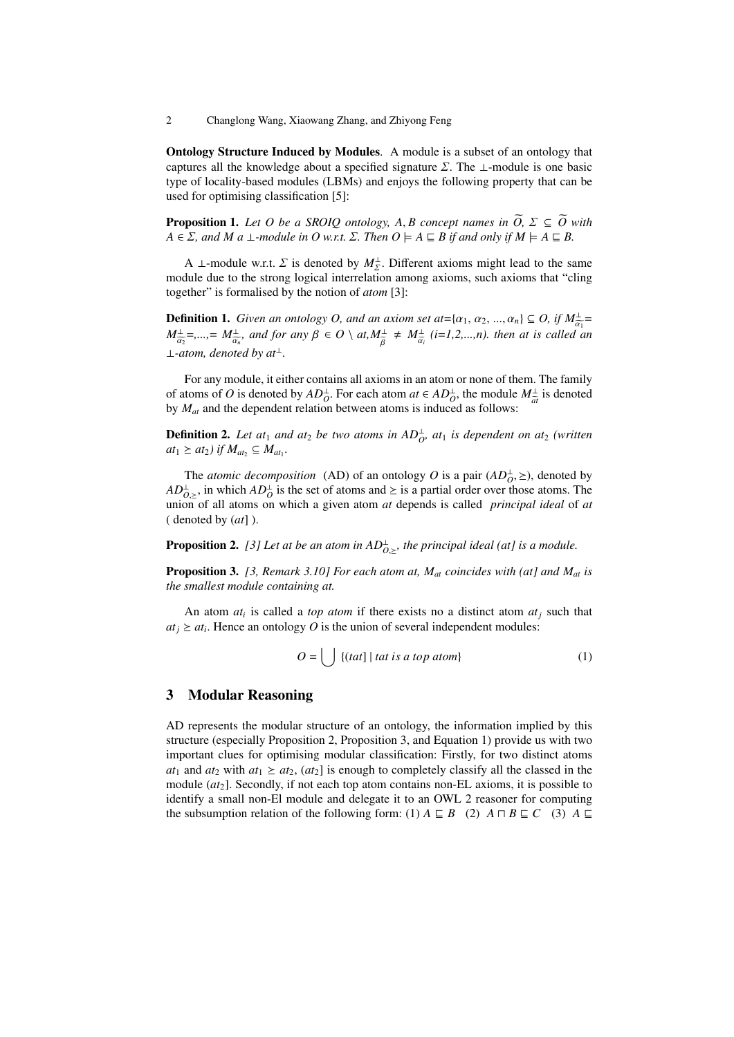2 Changlong Wang, Xiaowang Zhang, and Zhiyong Feng

Ontology Structure Induced by Modules. A module is a subset of an ontology that captures all the knowledge about a specified signature  $\Sigma$ . The  $\bot$ -module is one basic type of locality-based modules (LBMs) and enjoys the following property that can be used for optimising classification [5]:

**Proposition 1.** Let O be a SROIQ ontology, A, B concept names in  $\widetilde{O}$ ,  $\Sigma \subseteq \widetilde{O}$  with  $A \in \Sigma$ , and M a  $\bot$ -module in O w.r.t.  $\Sigma$ . Then  $O \models A \sqsubseteq B$  if and only if  $M \models A \sqsubseteq B$ .

A ⊥-module w.r.t.  $\Sigma$  is denoted by  $M_{\Sigma}^{\perp}$ . Different axioms might lead to the same<br>tule due to the strong logical interrelation among axioms, such axioms that "cling module due to the strong logical interrelation among axioms, such axioms that "cling together" is formalised by the notion of *atom* [3]:

**Definition 1.** *Given an ontology O, and an axiom set at*={ $\alpha_1, \alpha_2, ..., \alpha_n$ }  $\subseteq$  *O, if*  $M_{\alpha_1}^{\perp}$  =<br>  $M_{\alpha_2}^{\perp}$  =  $M_{\alpha_3}^{\perp}$  and for any  $\theta \subseteq Q$ ) at  $M_{\alpha_4}^{\perp}$  to  $M_{\alpha_5}^{\perp}$  (i=1.2, a) then at is s  $M_{\infty}^{\perp}$ =,...,=  $M_{\infty}^{\perp}$ , and for any  $\beta \in O \setminus at, M_{\overline{\alpha}}^{\perp} \neq M_{\overline{\alpha}}^{\perp}$  (*i*=1,2,...,n). then at is called a  $\alpha_2$ =*,...,*= *M*<sup>⊥</sup>  $\frac{d}{d\alpha}$ *, and for any*  $\beta \in O \setminus at, M^{\perp}_{\widetilde{\beta}}$  $\neq M_{\tilde{\alpha}}^{\perp}$ αe*i (i*=*1,2,...,n). then at is called an* ⊥-atom, denoted by  $at^{\perp}$ .

For any module, it either contains all axioms in an atom or none of them. The family of atoms of *O* is denoted by  $AD<sub>0</sub><sup>⊥</sup>$ . For each atom *at* ∈  $AD<sub>0</sub><sup>⊥</sup>$ , the module  $M<sub>±</sub><sup>⊥</sup>$  is denoted by *M*<sub>a</sub> and the dependent relation between atoms is induced as follows: by *Mat* and the dependent relation between atoms is induced as follows:

**Definition 2.** Let at<sub>1</sub> and at<sub>2</sub> be two atoms in  $AD_{O}^{\perp}$ , at<sub>1</sub> is dependent on at<sub>2</sub> (written  $at_1 \geq at_2$ ) if  $M_{at_2} \subseteq M_{at_1}$ .

The *atomic decomposition* (AD) of an ontology *O* is a pair  $(AD<sub>O</sub><sup>+</sup>, \geq)$ , denoted by  $\frac{1}{2}$  in which  $AD<sup>+</sup>$  is the set of atoms and > is a partial order over those atoms. The  $AD_{O,\geq}^{\perp}$ , in which  $AD_O^{\perp}$  is the set of atoms and  $\geq$  is a partial order over those atoms. The  $\Delta D_{O,\geq}$ , in which  $\Delta D_O$  is the set of atoms and  $\angle$  is a partial offer over those atoms. The union of all atoms on which a given atom *at* depends is called *principal ideal* of *at* ( denoted by (*at*] ).

**Proposition 2.** [3] Let at be an atom in  $AD_{O,\geq}^{\perp}$ , the principal ideal (at] is a module.

Proposition 3. *[3, Remark 3.10] For each atom at, Mat coincides with (at] and Mat is the smallest module containing at.*

An atom  $at_i$  is called a *top atom* if there exists no a distinct atom  $at_j$  such that  $at_j \geq at_i$ . Hence an ontology *O* is the union of several independent modules:

$$
O = \bigcup \{ (tat) \mid tat \; is \; a \; top \; atom \} \tag{1}
$$

#### 3 Modular Reasoning

AD represents the modular structure of an ontology, the information implied by this structure (especially Proposition 2, Proposition 3, and Equation 1) provide us with two important clues for optimising modular classification: Firstly, for two distinct atoms  $at_1$  and  $at_2$  with  $at_1 \geq at_2$ ,  $(at_2)$  is enough to completely classify all the classed in the module (*at*2]. Secondly, if not each top atom contains non-EL axioms, it is possible to identify a small non-El module and delegate it to an OWL 2 reasoner for computing the subsumption relation of the following form: (1)  $A \sqsubseteq B$  (2)  $A \sqcap B \sqsubseteq C$  (3)  $A \sqsubseteq$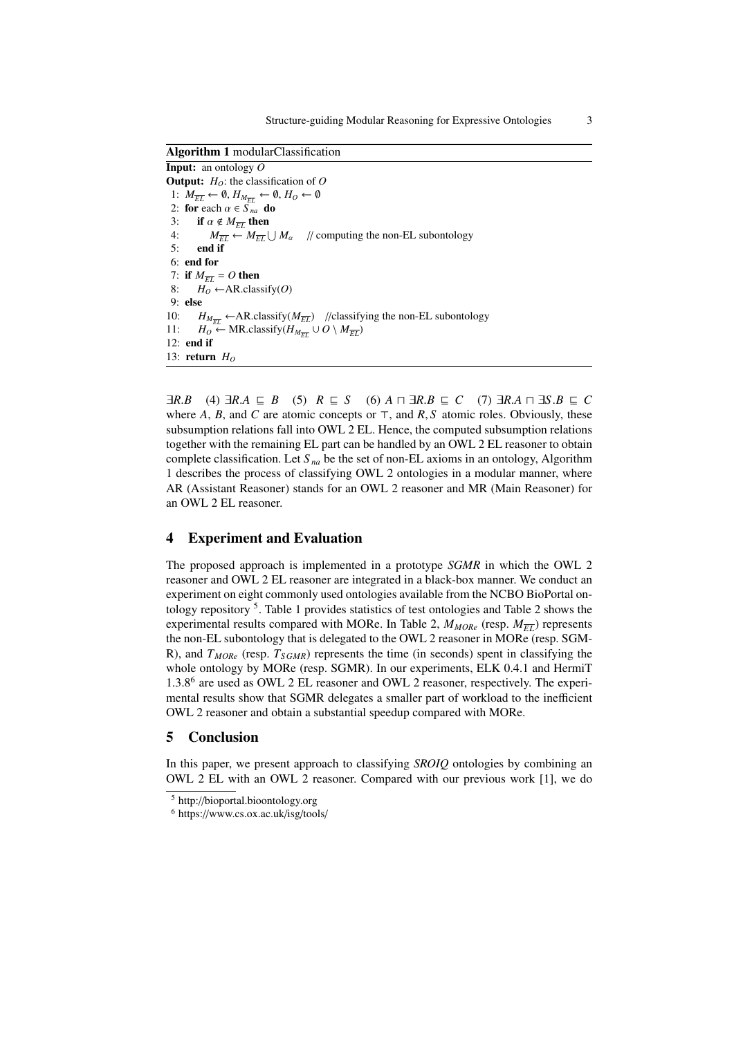Algorithm 1 modularClassification Input: an ontology *O* **Output:**  $H_0$ : the classification of  $O$ 1:  $M_{\overline{EL}} \leftarrow \emptyset$ ,  $H_{M_{\overline{EL}}} \leftarrow \emptyset$ ,  $H_O \leftarrow \emptyset$ 2: for each  $\alpha \in \widetilde{S}_{na}$  do<br>3: if  $\alpha \notin M_{\overline{FI}}$  then 3: **if**  $\alpha \notin M_{\overline{EL}}$  then<br>4:  $M_{\overline{EI}} \leftarrow M_{\overline{EI}}$ 4:  $M_{\overline{EL}} \leftarrow M_{\overline{EL}} \bigcup$ *//* computing the non-EL subontology 5: end if 6: end for 7: if  $M_{\overline{EL}} = O$  then<br>8:  $H_O \leftarrow AR.class$  $H_O \leftarrow AR.classify(O)$ 9: else 10: *H<sub>M<sub>EL</sub>* ←AR.classify( $M_{\overline{EL}}$ ) //classifying the non-EL subontology<br>11: *H<sub>O</sub>* ← MR.classify( $H_{\mu}$  ∪ *O* \  $M_{\overline{ET}}$ )</sub> 11:  $H_0 \leftarrow \text{MR.classify}(H_{M_{\overline{EL}}} \cup O \setminus M_{\overline{EL}})$ 12: end if 13: return *H<sup>O</sup>*

 $\exists R.B$  (4)  $\exists R.A \sqsubseteq B$  (5)  $R \sqsubseteq S$  (6)  $A \sqcap \exists R.B \sqsubseteq C$  (7)  $\exists R.A \sqcap \exists S.B \sqsubseteq C$ <br>where A, R, and C are atomic concents or  $\top$  and R.S. atomic roles. Obviously, these where *A*, *B*, and *C* are atomic concepts or  $\top$ , and *R*, *S* atomic roles. Obviously, these subsumption relations fall into OWI 2 EI. Hence the computed subsumption relations subsumption relations fall into OWL 2 EL. Hence, the computed subsumption relations together with the remaining EL part can be handled by an OWL 2 EL reasoner to obtain complete classification. Let *S na* be the set of non-EL axioms in an ontology, Algorithm 1 describes the process of classifying OWL 2 ontologies in a modular manner, where AR (Assistant Reasoner) stands for an OWL 2 reasoner and MR (Main Reasoner) for an OWL 2 EL reasoner.

#### 4 Experiment and Evaluation

The proposed approach is implemented in a prototype *SGMR* in which the OWL 2 reasoner and OWL 2 EL reasoner are integrated in a black-box manner. We conduct an experiment on eight commonly used ontologies available from the NCBO BioPortal ontology repository<sup>5</sup>. Table 1 provides statistics of test ontologies and Table 2 shows the experimental results compared with MORe. In Table 2,  $M_{MORe}$  (resp.  $M_{\overline{FI}}$ ) represents the non-EL subontology that is delegated to the OWL 2 reasoner in MORe (resp. SGM-R), and *TMORe* (resp. *TS GMR*) represents the time (in seconds) spent in classifying the whole ontology by MORe (resp. SGMR). In our experiments, ELK 0.4.1 and HermiT 1.3.8<sup>6</sup> are used as OWL 2 EL reasoner and OWL 2 reasoner, respectively. The experimental results show that SGMR delegates a smaller part of workload to the inefficient OWL 2 reasoner and obtain a substantial speedup compared with MORe.

#### 5 Conclusion

In this paper, we present approach to classifying *SROIQ* ontologies by combining an OWL 2 EL with an OWL 2 reasoner. Compared with our previous work [1], we do

<sup>5</sup> http://bioportal.bioontology.org

<sup>6</sup> https://www.cs.ox.ac.uk/isg/tools/